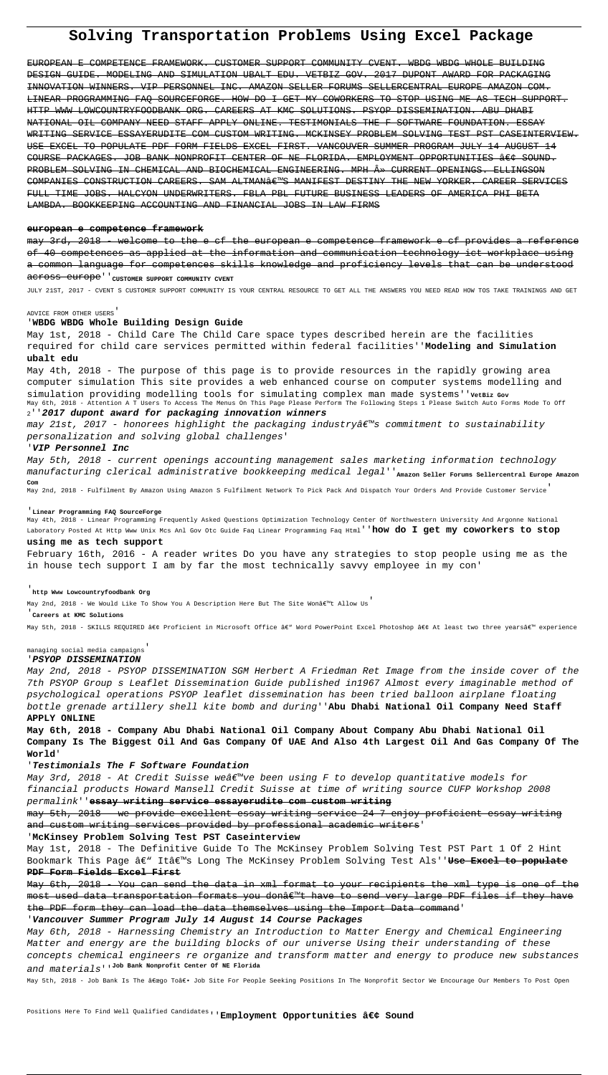# **Solving Transportation Problems Using Excel Package**

EUROPEAN E COMPETENCE FRAMEWORK. CUSTOMER SUPPORT COMMUNITY CVENT. WBDG WBDG WHOLE BUILDING DESIGN GUIDE. MODELING AND SIMULATION UBALT EDU. VETBIZ GOV. 2017 DUPONT AWARD FOR PACKAGING INNOVATION WINNERS. VIP PERSONNEL INC. AMAZON SELLER FORUMS SELLERCENTRAL EUROPE AMAZON COM. LINEAR PROGRAMMING FAQ SOURCEFORGE. HOW DO I GET MY COWORKERS TO STOP USING ME AS TECH SUPPORT. HTTP WWW LOWCOUNTRYFOODBANK ORG. CAREERS AT KMC SOLUTIONS. PSYOP DISSEMINATION. ABU DHABI NATIONAL OIL COMPANY NEED STAFF APPLY ONLINE. TESTIMONIALS THE F SOFTWARE FOUNDATION. ESSAY WRITING SERVICE ESSAYERUDITE COM CUSTOM WRITING. MCKINSEY PROBLEM SOLVING TEST PST CASEINTERVIEW. USE EXCEL TO POPULATE PDF FORM FIELDS EXCEL FIRST. VANCOUVER SUMMER PROGRAM JULY 14 AUGUST 14 COURSE PACKAGES. JOB BANK NONPROFIT CENTER OF NE FLORIDA. EMPLOYMENT OPPORTUNITIES • SOUND. PROBLEM SOLVING IN CHEMICAL AND BIOCHEMICAL ENGINEERING. MPH » CURRENT OPENINGS. ELLINGSON COMPANIES CONSTRUCTION CAREERS. SAM ALTMAN€<sup>w</sup>S MANIFEST DESTINY THE NEW YORKER. CAREER SERVICES FULL TIME JOBS. HALCYON UNDERWRITERS. FBLA PBL FUTURE BUSINESS LEADERS OF AMERICA PHI BETA LAMBDA. BOOKKEEPING ACCOUNTING AND FINANCIAL JOBS IN LAW FIRMS

### **european e competence framework**

may 3rd, 2018 - welcome to the e cf the european e competence framework e cf provides of 40 competences as applied at the information and communication technology ict workplace using a common language for competences skills knowledge and proficiency levels that can be understood across europe''<sub>customer</sub> support community cvent

 $m$ ay 21st, 2017 - honorees highlight the packaging industry at commitment to sustainability personalization and solving global challenges'

JULY 21ST, 2017 - CVENT S CUSTOMER SUPPORT COMMUNITY IS YOUR CENTRAL RESOURCE TO GET ALL THE ANSWERS YOU NEED READ HOW TOS TAKE TRAININGS AND GET

#### ADVICE FROM OTHER USERS'

#### '**WBDG WBDG Whole Building Design Guide**

May 1st, 2018 - Child Care The Child Care space types described herein are the facilities required for child care services permitted within federal facilities''**Modeling and Simulation ubalt edu**

May 4th, 2018 - The purpose of this page is to provide resources in the rapidly growing area computer simulation This site provides a web enhanced course on computer systems modelling and simulation providing modelling tools for simulating complex man made systems''vetBiz Gov May 6th, 2018 - Attention A T Users To Access The Menus On This Page Please Perform The Following Steps 1 Please Switch Auto Forms Mode To Off <sup>2</sup>''**2017 dupont award for packaging innovation winners**

May 3rd, 2018 - At Credit Suisse weâ $\epsilon^{\text{w}}$ ve been using F to develop quantitative models for financial products Howard Mansell Credit Suisse at time of writing source CUFP Workshop 2008 permalink''**essay writing service essayerudite com custom writing**

may 5th, 2018 - we provide excellent essay writing service 24 7 enjoy proficient essay writing and custom writing services provided by professional academic writers'

Bookmark This Page â€" It's Long The McKinsey Problem Solving Test Als''<del>Use Excel to populate</del> **PDF Form Fields Excel First**

#### '**VIP Personnel Inc**

May 5th, 2018 - current openings accounting management sales marketing information technology manufacturing clerical administrative bookkeeping medical legal''<sub>Amazon Seller Forums Sellercentral Europe Amazon</sub> **Com**

May 2nd, 2018 - Fulfilment By Amazon Using Amazon S Fulfilment Network To Pick Pack And Dispatch Your Orders And Provide Customer Service'

#### '**Linear Programming FAQ SourceForge**

May 4th, 2018 - Linear Programming Frequently Asked Questions Optimization Technology Center Of Northwestern University And Argonne National Laboratory Posted At Http Www Unix Mcs Anl Gov Otc Guide Faq Linear Programming Faq Html''**how do I get my coworkers to stop**

#### **using me as tech support**

February 16th, 2016 - A reader writes Do you have any strategies to stop people using me as the in house tech support I am by far the most technically savvy employee in my con'

### '**http Www Lowcountryfoodbank Org**

May 2nd, 2018 - We Would Like To Show You A Description Here But The Site Wonâe Mt Allow Us

#### '**Careers at KMC Solutions**

May 5th, 2018 - SKILLS REQUIRED • Proficient in Microsoft Office â€" Word PowerPoint Excel Photoshop • At least two three yearsâ€" experience

#### managing social media campaigns'

#### '**PSYOP DISSEMINATION**

May 2nd, 2018 - PSYOP DISSEMINATION SGM Herbert A Friedman Ret Image from the inside cover of the 7th PSYOP Group s Leaflet Dissemination Guide published in1967 Almost every imaginable method of psychological operations PSYOP leaflet dissemination has been tried balloon airplane floating bottle grenade artillery shell kite bomb and during''**Abu Dhabi National Oil Company Need Staff APPLY ONLINE**

**May 6th, 2018 - Company Abu Dhabi National Oil Company About Company Abu Dhabi National Oil Company Is The Biggest Oil And Gas Company Of UAE And Also 4th Largest Oil And Gas Company Of The World**'

## '**Testimonials The F Software Foundation**

# '**McKinsey Problem Solving Test PST Caseinterview**

May 1st, 2018 - The Definitive Guide To The McKinsey Problem Solving Test PST Part 1 Of 2 Hint

May 6th, 2018 - You can send the data in xml format to your recipients the xml type is one of the most used data transportation formats you donâ $\varepsilon^{\text{m}}$ t have to send very large PDF files if they have the PDF form they can load the data themselves using the Import Data command'

## '**Vancouver Summer Program July 14 August 14 Course Packages**

May 6th, 2018 - Harnessing Chemistry an Introduction to Matter Energy and Chemical Engineering Matter and energy are the building blocks of our universe Using their understanding of these concepts chemical engineers re organize and transform matter and energy to produce new substances and materials''**Job Bank Nonprofit Center Of NE Florida**

May 5th, 2018 - Job Bank Is The âeœgo Toâe. Job Site For People Seeking Positions In The Nonprofit Sector We Encourage Our Members To Post Open

Positions Here To Find Well Qualified Candidates'' Employment Opportunities • Sound